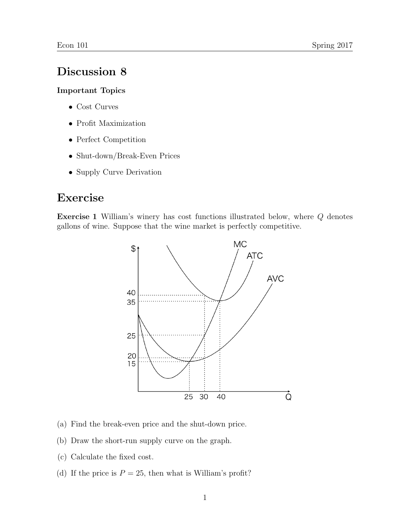## Discussion 8

## Important Topics

- Cost Curves
- Profit Maximization
- Perfect Competition
- Shut-down/Break-Even Prices
- Supply Curve Derivation

## Exercise

Exercise 1 William's winery has cost functions illustrated below, where Q denotes gallons of wine. Suppose that the wine market is perfectly competitive.



- (a) Find the break-even price and the shut-down price.
- (b) Draw the short-run supply curve on the graph.
- (c) Calculate the fixed cost.
- (d) If the price is  $P = 25$ , then what is William's profit?